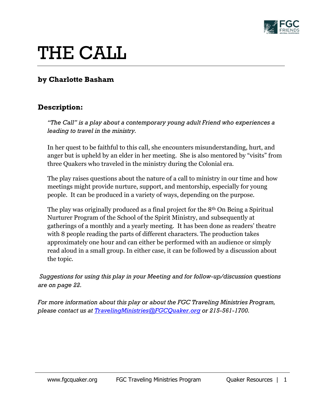

# THE CALL

# **by Charlotte Basham**

# **Description:**

*"The Call" is a play about a contemporary young adult Friend who experiences a leading to travel in the ministry.* 

In her quest to be faithful to this call, she encounters misunderstanding, hurt, and anger but is upheld by an elder in her meeting. She is also mentored by "visits" from three Quakers who traveled in the ministry during the Colonial era.

The play raises questions about the nature of a call to ministry in our time and how meetings might provide nurture, support, and mentorship, especially for young people. It can be produced in a variety of ways, depending on the purpose.

The play was originally produced as a final project for the 8th On Being a Spiritual Nurturer Program of the School of the Spirit Ministry, and subsequently at gatherings of a monthly and a yearly meeting. It has been done as readers' theatre with 8 people reading the parts of different characters. The production takes approximately one hour and can either be performed with an audience or simply read aloud in a small group. In either case, it can be followed by a discussion about the topic.

*Suggestions for using this play in your Meeting and for follow-up/discussion questions are on page 22.* 

*For more information about this play or about the FGC Traveling Ministries Program, please contact us at [TravelingMinistries@FGCQuaker.org](mailto:TravelingMinistries@FGCQuaker.org) or 215-561-1700.*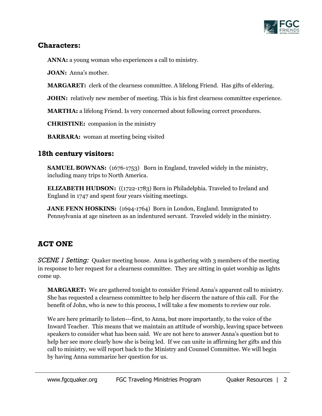

## **Characters:**

**ANNA:** a young woman who experiences a call to ministry.

**JOAN:** Anna's mother.

**MARGARET:** clerk of the clearness committee. A lifelong Friend. Has gifts of eldering.

**JOHN:** relatively new member of meeting. This is his first clearness committee experience.

**MARTHA:** a lifelong Friend. Is very concerned about following correct procedures.

**CHRISTINE:** companion in the ministry

**BARBARA:** woman at meeting being visited

# **18th century visitors:**

**SAMUEL BOWNAS:** (1676-1753) Born in England, traveled widely in the ministry, including many trips to North America.

**ELIZABETH HUDSON:** ((1722-1783) Born in Philadelphia. Traveled to Ireland and England in 1747 and spent four years visiting meetings.

**JANE FENN HOSKINS:** (1694-1764) Born in London, England. Immigrated to Pennsylvania at age nineteen as an indentured servant. Traveled widely in the ministry.

# **ACT ONE**

*SCENE 1 Setting:* Quaker meeting house. Anna is gathering with 3 members of the meeting in response to her request for a clearness committee. They are sitting in quiet worship as lights come up.

**MARGARET:** We are gathered tonight to consider Friend Anna's apparent call to ministry. She has requested a clearness committee to help her discern the nature of this call. For the benefit of John, who is new to this process, I will take a few moments to review our role.

We are here primarily to listen---first, to Anna, but more importantly, to the voice of the Inward Teacher. This means that we maintain an attitude of worship, leaving space between speakers to consider what has been said. We are not here to answer Anna's question but to help her see more clearly how she is being led. If we can unite in affirming her gifts and this call to ministry, we will report back to the Ministry and Counsel Committee. We will begin by having Anna summarize her question for us.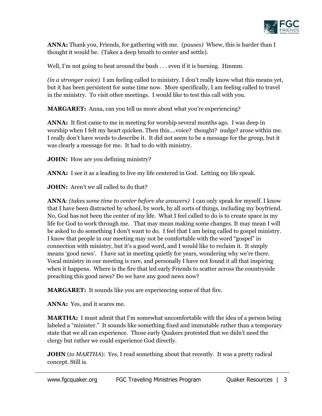

**ANNA:** Thank you, Friends, for gathering with me. *(pauses)* Whew, this is harder than I thought it would be. (Takes a deep breath to center and settle).

Well, I'm not going to beat around the bush . . . even if it is burning. Hmmm.

*(in a stronger voice)* I am feeling called to ministry. I don't really know what this means yet, but it has been persistent for some time now. More specifically, I am feeling called to travel in the ministry. To visit other meetings. I would like to test this call with you.

**MARGARET:** Anna, can you tell us more about what you're experiencing?

**ANNA:** It first came to me in meeting for worship several months ago. I was deep in worship when I felt my heart quicken. Then this….voice? thought? nudge? arose within me. I really don't have words to describe it. It did not seem to be a message for the group, but it was clearly a message for me. It had to do with ministry.

**JOHN:** How are you defining ministry?

**ANNA:** I see it as a leading to live my life centered in God. Letting my life speak.

**JOHN:** Aren't we all called to do that?

**ANNA**: *(takes some time to center before she answers)* I can only speak for myself. I know that I have been distracted by school, by work, by all sorts of things, including my boyfriend. No, God has not been the center of my life. What I feel called to do is to create space in my life for God to work through me. That may mean making some changes. It may mean I will be asked to do something I don't want to do. I feel that I am being called to gospel ministry. I know that people in our meeting may not be comfortable with the word "gospel" in connection with ministry, but it's a good word, and I would like to reclaim it. It simply means 'good news'. I have sat in meeting quietly for years, wondering why we're there. Vocal ministry in our meeting is rare, and personally I have not found it all that inspiring when it happens. Where is the fire that led early Friends to scatter across the countryside preaching this good news? Do we have any good news now?

**MARGARET:** It sounds like you are experiencing some of that fire.

**ANNA:** Yes, and it scares me.

**MARTHA:** I must admit that I'm somewhat uncomfortable with the idea of a person being labeled a "minister." It sounds like something fixed and immutable rather than a temporary state that we all can experience. Those early Quakers protested that we didn't need the clergy but rather we could experience God directly.

**JOHN** (*to MARTHA*): Yes, I read something about that recently. It was a pretty radical concept. Still is.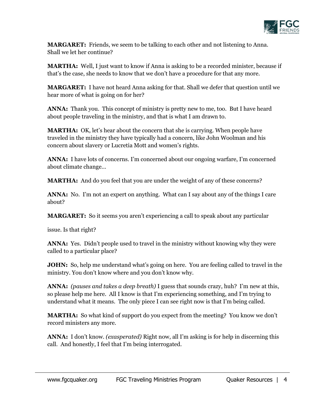

**MARGARET:** Friends, we seem to be talking to each other and not listening to Anna. Shall we let her continue?

**MARTHA:** Well, I just want to know if Anna is asking to be a recorded minister, because if that's the case, she needs to know that we don't have a procedure for that any more.

**MARGARET:** I have not heard Anna asking for that. Shall we defer that question until we hear more of what is going on for her?

ANNA: Thank you. This concept of ministry is pretty new to me, too. But I have heard about people traveling in the ministry, and that is what I am drawn to.

**MARTHA:** OK, let's hear about the concern that she is carrying. When people have traveled in the ministry they have typically had a concern, like John Woolman and his concern about slavery or Lucretia Mott and women's rights.

**ANNA:** I have lots of concerns. I'm concerned about our ongoing warfare, I'm concerned about climate change…

**MARTHA:** And do you feel that you are under the weight of any of these concerns?

**ANNA:** No. I'm not an expert on anything. What can I say about any of the things I care about?

**MARGARET:** So it seems you aren't experiencing a call to speak about any particular

issue. Is that right?

**ANNA:** Yes. Didn't people used to travel in the ministry without knowing why they were called to a particular place?

**JOHN:** So, help me understand what's going on here. You are feeling called to travel in the ministry. You don't know where and you don't know why.

**ANNA:** *(pauses and takes a deep breath)* I guess that sounds crazy, huh? I'm new at this, so please help me here. All I know is that I'm experiencing something, and I'm trying to understand what it means. The only piece I can see right now is that I'm being called.

**MARTHA:** So what kind of support do you expect from the meeting? You know we don't record ministers any more.

**ANNA:** I don't know. *(exasperated)* Right now, all I'm asking is for help in discerning this call. And honestly, I feel that I'm being interrogated.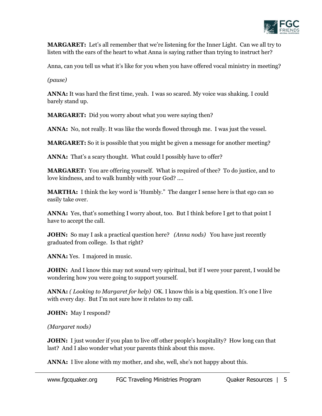

**MARGARET:** Let's all remember that we're listening for the Inner Light. Can we all try to listen with the ears of the heart to what Anna is saying rather than trying to instruct her?

Anna, can you tell us what it's like for you when you have offered vocal ministry in meeting?

*(pause)*

**ANNA:** It was hard the first time, yeah. I was so scared. My voice was shaking. I could barely stand up.

**MARGARET:** Did you worry about what you were saying then?

**ANNA:** No, not really. It was like the words flowed through me. I was just the vessel.

**MARGARET:** So it is possible that you might be given a message for another meeting?

ANNA: That's a scary thought. What could I possibly have to offer?

**MARGARET:** You are offering yourself. What is required of thee? To do justice, and to love kindness, and to walk humbly with your God? ....

**MARTHA:** I think the key word is 'Humbly." The danger I sense here is that ego can so easily take over.

ANNA: Yes, that's something I worry about, too. But I think before I get to that point I have to accept the call.

**JOHN:** So may I ask a practical question here? *(Anna nods)* You have just recently graduated from college. Is that right?

**ANNA:** Yes. I majored in music.

**JOHN:** And I know this may not sound very spiritual, but if I were your parent, I would be wondering how you were going to support yourself.

**ANNA:** *( Looking to Margaret for help)* OK. I know this is a big question. It's one I live with every day. But I'm not sure how it relates to my call.

**JOHN:** May I respond?

*(Margaret nods)* 

**JOHN:** I just wonder if you plan to live off other people's hospitality? How long can that last? And I also wonder what your parents think about this move.

**ANNA:** I live alone with my mother, and she, well, she's not happy about this.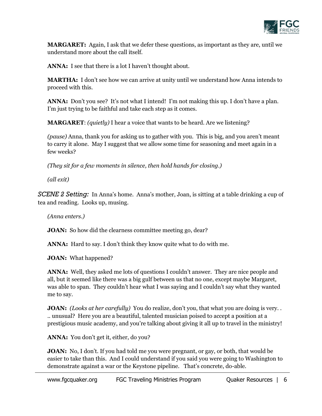

**MARGARET:** Again, I ask that we defer these questions, as important as they are, until we understand more about the call itself.

**ANNA:** I see that there is a lot I haven't thought about.

**MARTHA:** I don't see how we can arrive at unity until we understand how Anna intends to proceed with this.

**ANNA:** Don't you see? It's not what I intend! I'm not making this up. I don't have a plan. I'm just trying to be faithful and take each step as it comes.

**MARGARET**: *(quietly)* I hear a voice that wants to be heard. Are we listening?

*(pause)* Anna, thank you for asking us to gather with you. This is big, and you aren't meant to carry it alone. May I suggest that we allow some time for seasoning and meet again in a few weeks?

*(They sit for a few moments in silence, then hold hands for closing.)*

*(all exit)*

*SCENE 2 Setting:* In Anna's home. Anna's mother, Joan, is sitting at a table drinking a cup of tea and reading. Looks up, musing.

*(Anna enters.)* 

**JOAN:** So how did the clearness committee meeting go, dear?

**ANNA:** Hard to say. I don't think they know quite what to do with me.

**JOAN:** What happened?

**ANNA:** Well, they asked me lots of questions I couldn't answer. They are nice people and all, but it seemed like there was a big gulf between us that no one, except maybe Margaret, was able to span. They couldn't hear what I was saying and I couldn't say what they wanted me to say.

**JOAN:** *(Looks at her carefully)* You do realize, don't you, that what you are doing is very. . .. unusual? Here you are a beautiful, talented musician poised to accept a position at a prestigious music academy, and you're talking about giving it all up to travel in the ministry!

**ANNA:** You don't get it, either, do you?

**JOAN:** No, I don't. If you had told me you were pregnant, or gay, or both, that would be easier to take than this. And I could understand if you said you were going to Washington to demonstrate against a war or the Keystone pipeline. That's concrete, do-able.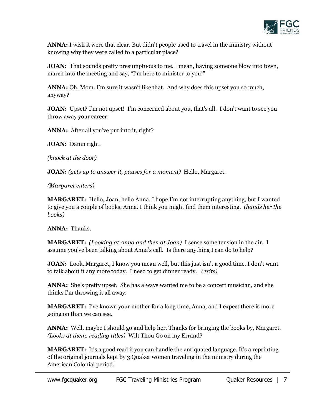

**ANNA:** I wish it were that clear. But didn't people used to travel in the ministry without knowing why they were called to a particular place?

**JOAN:** That sounds pretty presumptuous to me. I mean, having someone blow into town, march into the meeting and say, "I'm here to minister to you!"

**ANNA:** Oh, Mom. I'm sure it wasn't like that. And why does this upset you so much, anyway?

**JOAN:** Upset? I'm not upset! I'm concerned about you, that's all. I don't want to see you throw away your career.

**ANNA:** After all you've put into it, right?

**JOAN:** Damn right.

*(knock at the door)* 

**JOAN:** *(gets up to answer it, pauses for a moment)* Hello, Margaret.

*(Margaret enters)*

**MARGARET:** Hello, Joan, hello Anna. I hope I'm not interrupting anything, but I wanted to give you a couple of books, Anna. I think you might find them interesting. *(hands her the books)*

**ANNA:** Thanks.

**MARGARET:** *(Looking at Anna and then at Joan)* I sense some tension in the air. I assume you've been talking about Anna's call. Is there anything I can do to help?

**JOAN:** Look, Margaret, I know you mean well, but this just isn't a good time. I don't want to talk about it any more today. I need to get dinner ready. *(exits)*

**ANNA:** She's pretty upset. She has always wanted me to be a concert musician, and she thinks I'm throwing it all away.

**MARGARET:** I've known your mother for a long time, Anna, and I expect there is more going on than we can see.

**ANNA:** Well, maybe I should go and help her. Thanks for bringing the books by, Margaret. *(Looks at them, reading titles)* Wilt Thou Go on my Errand?

**MARGARET:** It's a good read if you can handle the antiquated language. It's a reprinting of the original journals kept by 3 Quaker women traveling in the ministry during the American Colonial period.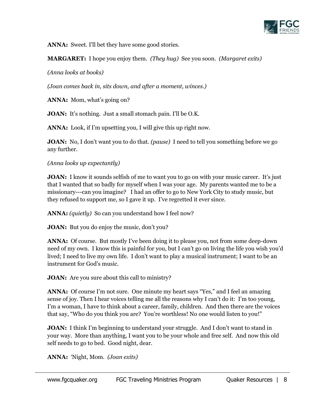

**ANNA:** Sweet. I'll bet they have some good stories.

**MARGARET:** I hope you enjoy them. *(They hug)* See you soon. *(Margaret exits)*

*(Anna looks at books)*

*(Joan comes back in, sits down, and after a moment, winces.)*

ANNA: Mom, what's going on?

**JOAN:** It's nothing. Just a small stomach pain. I'll be O.K.

**ANNA:** Look, if I'm upsetting you, I will give this up right now.

**JOAN:** No, I don't want you to do that. *(pause)* I need to tell you something before we go any further.

#### *(Anna looks up expectantly)*

**JOAN:** I know it sounds selfish of me to want you to go on with your music career. It's just that I wanted that so badly for myself when I was your age. My parents wanted me to be a missionary---can you imagine? I had an offer to go to New York City to study music, but they refused to support me, so I gave it up. I've regretted it ever since.

**ANNA:** *(quietly)* So can you understand how I feel now?

**JOAN:** But you do enjoy the music, don't you?

**ANNA:** Of course. But mostly I've been doing it to please you, not from some deep-down need of my own. I know this is painful for you, but I can't go on living the life you wish you'd lived; I need to live my own life. I don't want to play a musical instrument; I want to be an instrument for God's music.

**JOAN:** Are you sure about this call to ministry?

ANNA: Of course I'm not sure. One minute my heart says "Yes," and I feel an amazing sense of joy. Then I hear voices telling me all the reasons why I can't do it: I'm too young, I'm a woman, I have to think about a career, family, children. And then there are the voices that say, "Who do you think you are? You're worthless! No one would listen to you!"

**JOAN:** I think I'm beginning to understand your struggle. And I don't want to stand in your way. More than anything, I want you to be your whole and free self. And now this old self needs to go to bed. Good night, dear.

**ANNA:** 'Night, Mom. *(Joan exits)*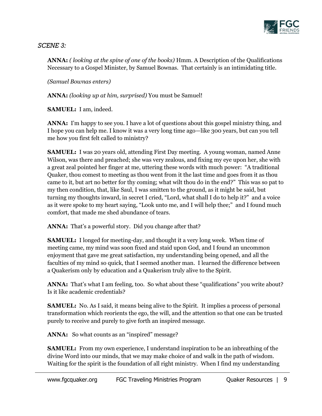

*SCENE 3:* 

**ANNA:** *( looking at the spine of one of the books)* Hmm. A Description of the Qualifications Necessary to a Gospel Minister, by Samuel Bownas. That certainly is an intimidating title.

*(Samuel Bownas enters)*

**ANNA:** *(looking up at him, surprised)* You must be Samuel!

**SAMUEL:** I am, indeed.

**ANNA:** I'm happy to see you. I have a lot of questions about this gospel ministry thing, and I hope you can help me. I know it was a very long time ago—like 300 years, but can you tell me how you first felt called to ministry?

**SAMUEL:** I was 20 years old, attending First Day meeting. A young woman, named Anne Wilson, was there and preached; she was very zealous, and fixing my eye upon her, she with a great zeal pointed her finger at me, uttering these words with much power: "A traditional Quaker, thou comest to meeting as thou went from it the last time and goes from it as thou came to it, but art no better for thy coming; what wilt thou do in the end?" This was so pat to my then condition, that, like Saul, I was smitten to the ground, as it might be said, but turning my thoughts inward, in secret I cried, "Lord, what shall I do to help it?" and a voice as it were spoke to my heart saying, "Look unto me, and I will help thee;" and I found much comfort, that made me shed abundance of tears.

ANNA: That's a powerful story. Did you change after that?

**SAMUEL:** I longed for meeting-day, and thought it a very long week. When time of meeting came, my mind was soon fixed and staid upon God, and I found an uncommon enjoyment that gave me great satisfaction, my understanding being opened, and all the faculties of my mind so quick, that I seemed another man. I learned the difference between a Quakerism only by education and a Quakerism truly alive to the Spirit.

ANNA: That's what I am feeling, too. So what about these "qualifications" you write about? Is it like academic credentials?

**SAMUEL:** No. As I said, it means being alive to the Spirit. It implies a process of personal transformation which reorients the ego, the will, and the attention so that one can be trusted purely to receive and purely to give forth an inspired message.

ANNA: So what counts as an "inspired" message?

**SAMUEL:** From my own experience, I understand inspiration to be an inbreathing of the divine Word into our minds, that we may make choice of and walk in the path of wisdom. Waiting for the spirit is the foundation of all right ministry. When I find my understanding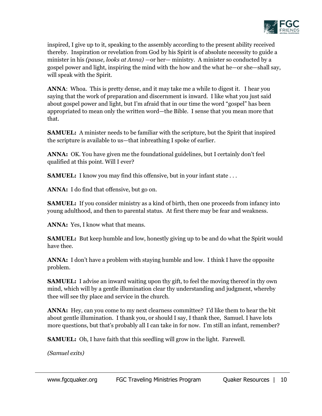

inspired, I give up to it, speaking to the assembly according to the present ability received thereby. Inspiration or revelation from God by his Spirit is of absolute necessity to guide a minister in his *(pause, looks at Anna)* —or her— ministry. A minister so conducted by a gospel power and light, inspiring the mind with the how and the what he—or she—shall say, will speak with the Spirit.

**ANNA**: Whoa. This is pretty dense, and it may take me a while to digest it. I hear you saying that the work of preparation and discernment is inward. I like what you just said about gospel power and light, but I'm afraid that in our time the word "gospel" has been appropriated to mean only the written word—the Bible. I sense that you mean more that that.

**SAMUEL:** A minister needs to be familiar with the scripture, but the Spirit that inspired the scripture is available to us—that inbreathing I spoke of earlier.

**ANNA:** OK. You have given me the foundational guidelines, but I certainly don't feel qualified at this point. Will I ever?

**SAMUEL:** I know you may find this offensive, but in your infant state ...

**ANNA:** I do find that offensive, but go on.

**SAMUEL:** If you consider ministry as a kind of birth, then one proceeds from infancy into young adulthood, and then to parental status. At first there may be fear and weakness.

**ANNA:** Yes, I know what that means.

**SAMUEL:** But keep humble and low, honestly giving up to be and do what the Spirit would have thee.

ANNA: I don't have a problem with staying humble and low. I think I have the opposite problem.

**SAMUEL:** I advise an inward waiting upon thy gift, to feel the moving thereof in thy own mind, which will by a gentle illumination clear thy understanding and judgment, whereby thee will see thy place and service in the church.

**ANNA:** Hey, can you come to my next clearness committee? I'd like them to hear the bit about gentle illumination. I thank you, or should I say, I thank thee, Samuel. I have lots more questions, but that's probably all I can take in for now. I'm still an infant, remember?

**SAMUEL:** Oh, I have faith that this seedling will grow in the light. Farewell.

*(Samuel exits)*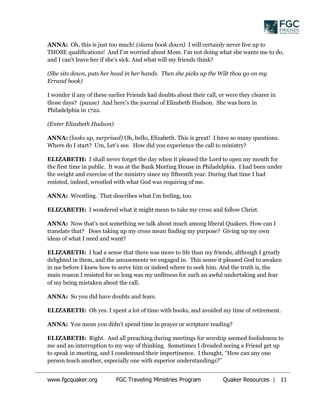

**ANNA:** Oh, this is just too much! *(slams book down)* I will certainly never live up to THOSE qualifications! And I'm worried about Mom. I'm not doing what she wants me to do, and I can't leave her if she's sick. And what will my friends think?

*(She sits down, puts her head in her hands. Then she picks up the Wilt thou go on my Errand book)* 

I wonder if any of these earlier Friends had doubts about their call, or were they clearer in those days? *(pause)* And here's the journal of Elizabeth Hudson. She was born in Philadelphia in 1722.

#### *(Enter Elizabeth Hudson)*

**ANNA:** *(looks up, surprised)* Oh, hello, Elizabeth. This is great! I have so many questions. Where do I start? Um, Let's see. How did you experience the call to ministry?

**ELIZABETH:** I shall never forget the day when it pleased the Lord to open my mouth for the first time in public. It was at the Bank Meeting House in Philadelphia. I had been under the weight and exercise of the ministry since my fifteenth year. During that time I had resisted, indeed, wrestled with what God was requiring of me.

**ANNA:** Wrestling. That describes what I'm feeling, too.

**ELIZABETH:** I wondered what it might mean to take my cross and follow Christ.

**ANNA:** Now that's not something we talk about much among liberal Quakers. How can I translate that? Does taking up my cross mean finding my purpose? Giving up my own ideas of what I need and want?

**ELIZABETH:** I had a sense that there was more to life than my friends, although I greatly delighted in them, and the amusements we engaged in. This sense it pleased God to awaken in me before I knew how to serve him or indeed where to seek him. And the truth is, the main reason I resisted for so long was my unfitness for such an awful undertaking and fear of my being mistaken about the call.

**ANNA:** So you did have doubts and fears.

**ELIZABETH:** Oh yes. I spent a lot of time with books, and avoided my time of retirement.

**ANNA:** You mean you didn't spend time in prayer or scripture reading?

**ELIZABETH:** Right. And all preaching during meetings for worship seemed foolishness to me and an interruption to my way of thinking. Sometimes I dreaded seeing a Friend get up to speak in meeting, and I condemned their impertinence. I thought, "How can any one person teach another, especially one with superior understandings?"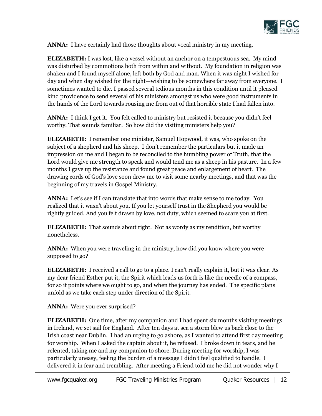

**ANNA:** I have certainly had those thoughts about vocal ministry in my meeting.

**ELIZABETH:** I was lost, like a vessel without an anchor on a tempestuous sea. My mind was disturbed by commotions both from within and without. My foundation in religion was shaken and I found myself alone, left both by God and man. When it was night I wished for day and when day wished for the night—wishing to be somewhere far away from everyone. I sometimes wanted to die. I passed several tedious months in this condition until it pleased kind providence to send several of his ministers amongst us who were good instruments in the hands of the Lord towards rousing me from out of that horrible state I had fallen into.

**ANNA:** I think I get it. You felt called to ministry but resisted it because you didn't feel worthy. That sounds familiar. So how did the visiting ministers help you?

**ELIZABETH:** I remember one minister, Samuel Hopwood, it was, who spoke on the subject of a shepherd and his sheep. I don't remember the particulars but it made an impression on me and I began to be reconciled to the humbling power of Truth, that the Lord would give me strength to speak and would tend me as a sheep in his pasture. In a few months I gave up the resistance and found great peace and enlargement of heart. The drawing cords of God's love soon drew me to visit some nearby meetings, and that was the beginning of my travels in Gospel Ministry.

**ANNA:** Let's see if I can translate that into words that make sense to me today. You realized that it wasn't about you. If you let yourself trust in the Shepherd you would be rightly guided. And you felt drawn by love, not duty, which seemed to scare you at first.

**ELIZABETH:** That sounds about right. Not as wordy as my rendition, but worthy nonetheless.

**ANNA:** When you were traveling in the ministry, how did you know where you were supposed to go?

**ELIZABETH:** I received a call to go to a place. I can't really explain it, but it was clear. As my dear friend Esther put it, the Spirit which leads us forth is like the needle of a compass, for so it points where we ought to go, and when the journey has ended. The specific plans unfold as we take each step under direction of the Spirit.

**ANNA:** Were you ever surprised?

**ELIZABETH:** One time, after my companion and I had spent six months visiting meetings in Ireland, we set sail for England. After ten days at sea a storm blew us back close to the Irish coast near Dublin. I had an urging to go ashore, as I wanted to attend first day meeting for worship. When I asked the captain about it, he refused. I broke down in tears, and he relented, taking me and my companion to shore. During meeting for worship, I was particularly uneasy, feeling the burden of a message I didn't feel qualified to handle. I delivered it in fear and trembling. After meeting a Friend told me he did not wonder why I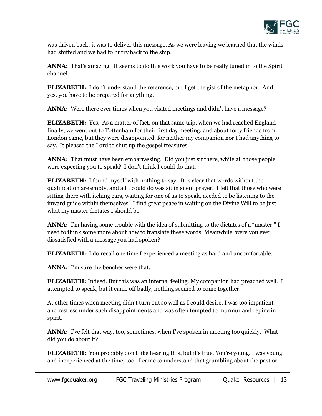

was driven back; it was to deliver this message. As we were leaving we learned that the winds had shifted and we had to hurry back to the ship.

**ANNA:** That's amazing. It seems to do this work you have to be really tuned in to the Spirit channel.

**ELIZABETH:** I don't understand the reference, but I get the gist of the metaphor. And yes, you have to be prepared for anything.

ANNA: Were there ever times when you visited meetings and didn't have a message?

**ELIZABETH:** Yes. As a matter of fact, on that same trip, when we had reached England finally, we went out to Tottenham for their first day meeting, and about forty friends from London came, but they were disappointed, for neither my companion nor I had anything to say. It pleased the Lord to shut up the gospel treasures.

**ANNA:** That must have been embarrassing. Did you just sit there, while all those people were expecting you to speak? I don't think I could do that.

**ELIZABETH:** I found myself with nothing to say. It is clear that words without the qualification are empty, and all I could do was sit in silent prayer. I felt that those who were sitting there with itching ears, waiting for one of us to speak, needed to be listening to the inward guide within themselves. I find great peace in waiting on the Divine Will to be just what my master dictates I should be.

**ANNA:** I'm having some trouble with the idea of submitting to the dictates of a "master." I need to think some more about how to translate these words. Meanwhile, were you ever dissatisfied with a message you had spoken?

**ELIZABETH:** I do recall one time I experienced a meeting as hard and uncomfortable.

**ANNA:** I'm sure the benches were that.

**ELIZABETH:** Indeed. But this was an internal feeling. My companion had preached well. I attempted to speak, but it came off badly, nothing seemed to come together.

At other times when meeting didn't turn out so well as I could desire, I was too impatient and restless under such disappointments and was often tempted to murmur and repine in spirit.

**ANNA:** I've felt that way, too, sometimes, when I've spoken in meeting too quickly. What did you do about it?

**ELIZABETH:** You probably don't like hearing this, but it's true. You're young. I was young and inexperienced at the time, too. I came to understand that grumbling about the past or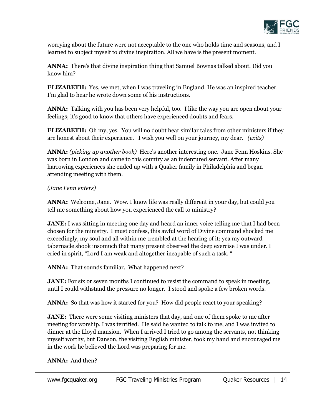

worrying about the future were not acceptable to the one who holds time and seasons, and I learned to subject myself to divine inspiration. All we have is the present moment.

**ANNA:** There's that divine inspiration thing that Samuel Bownas talked about. Did you know him?

**ELIZABETH:** Yes, we met, when I was traveling in England. He was an inspired teacher. I'm glad to hear he wrote down some of his instructions.

**ANNA:** Talking with you has been very helpful, too. I like the way you are open about your feelings; it's good to know that others have experienced doubts and fears.

**ELIZABETH:** Oh my, yes. You will no doubt hear similar tales from other ministers if they are honest about their experience. I wish you well on your journey, my dear. *(exits)*

**ANNA:** *(picking up another book)* Here's another interesting one. Jane Fenn Hoskins. She was born in London and came to this country as an indentured servant. After many harrowing experiences she ended up with a Quaker family in Philadelphia and began attending meeting with them.

#### *(Jane Fenn enters)*

**ANNA:** Welcome, Jane. Wow. I know life was really different in your day, but could you tell me something about how you experienced the call to ministry?

**JANE:** I was sitting in meeting one day and heard an inner voice telling me that I had been chosen for the ministry. I must confess, this awful word of Divine command shocked me exceedingly, my soul and all within me trembled at the hearing of it; yea my outward tabernacle shook insomuch that many present observed the deep exercise I was under. I cried in spirit, "Lord I am weak and altogether incapable of such a task. "

**ANNA:** That sounds familiar. What happened next?

**JANE:** For six or seven months I continued to resist the command to speak in meeting, until I could withstand the pressure no longer. I stood and spoke a few broken words.

ANNA: So that was how it started for you? How did people react to your speaking?

**JANE:** There were some visiting ministers that day, and one of them spoke to me after meeting for worship. I was terrified. He said he wanted to talk to me, and I was invited to dinner at the Lloyd mansion. When I arrived I tried to go among the servants, not thinking myself worthy, but Danson, the visiting English minister, took my hand and encouraged me in the work he believed the Lord was preparing for me.

#### **ANNA:** And then?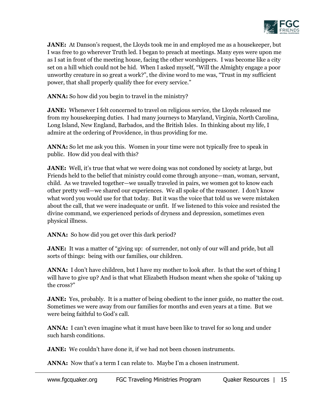

**JANE:** At Danson's request, the Lloyds took me in and employed me as a housekeeper, but I was free to go wherever Truth led. I began to preach at meetings. Many eyes were upon me as I sat in front of the meeting house, facing the other worshippers. I was become like a city set on a hill which could not be hid. When I asked myself, "Will the Almighty engage a poor unworthy creature in so great a work?", the divine word to me was, "Trust in my sufficient power, that shall properly qualify thee for every service."

**ANNA:** So how did you begin to travel in the ministry?

**JANE:** Whenever I felt concerned to travel on religious service, the Lloyds released me from my housekeeping duties. I had many journeys to Maryland, Virginia, North Carolina, Long Island, New England, Barbados, and the British Isles. In thinking about my life, I admire at the ordering of Providence, in thus providing for me.

**ANNA:** So let me ask you this. Women in your time were not typically free to speak in public. How did you deal with this?

**JANE:** Well, it's true that what we were doing was not condoned by society at large, but Friends held to the belief that ministry could come through anyone—man, woman, servant, child. As we traveled together—we usually traveled in pairs, we women got to know each other pretty well—we shared our experiences. We all spoke of the reasoner. I don't know what word you would use for that today. But it was the voice that told us we were mistaken about the call, that we were inadequate or unfit. If we listened to this voice and resisted the divine command, we experienced periods of dryness and depression, sometimes even physical illness.

**ANNA:** So how did you get over this dark period?

**JANE:** It was a matter of "giving up: of surrender, not only of our will and pride, but all sorts of things: being with our families, our children.

**ANNA:** I don't have children, but I have my mother to look after. Is that the sort of thing I will have to give up? And is that what Elizabeth Hudson meant when she spoke of 'taking up the cross?"

**JANE:** Yes, probably. It is a matter of being obedient to the inner guide, no matter the cost. Sometimes we were away from our families for months and even years at a time. But we were being faithful to God's call.

**ANNA:** I can't even imagine what it must have been like to travel for so long and under such harsh conditions.

**JANE:** We couldn't have done it, if we had not been chosen instruments.

ANNA: Now that's a term I can relate to. Maybe I'm a chosen instrument.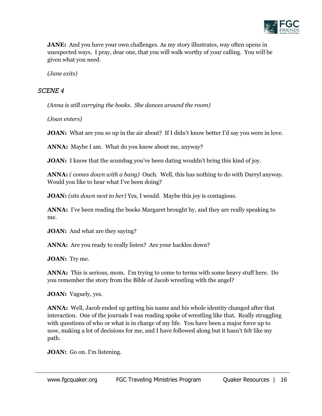

**JANE:** And you have your own challenges. As my story illustrates, way often opens in unexpected ways. I pray, dear one, that you will walk worthy of your calling. You will be given what you need.

*(Jane exits)*

#### *SCENE 4*

*(Anna is still carrying the books. She dances around the room)* 

*(Joan enters)*

**JOAN:** What are you so up in the air about? If I didn't know better I'd say you were in love.

**ANNA:** Maybe I am. What do you know about me, anyway?

**JOAN:** I know that the scumbag you've been dating wouldn't bring this kind of joy.

**ANNA:** *( comes down with a bang)* Ouch. Well, this has nothing to do with Darryl anyway. Would you like to hear what I've been doing?

**JOAN:** *(sits down next to her)* Yes, I would. Maybe this joy is contagious.

ANNA: I've been reading the books Margaret brought by, and they are really speaking to me.

**JOAN:** And what are they saying?

ANNA: Are you ready to really listen? Are your hackles down?

**JOAN:** Try me.

**ANNA:** This is serious, mom. I'm trying to come to terms with some heavy stuff here. Do you remember the story from the Bible of Jacob wrestling with the angel?

**JOAN:** Vaguely, yes.

**ANNA:** Well, Jacob ended up getting his name and his whole identity changed after that interaction. One of the journals I was reading spoke of wrestling like that. Really struggling with questions of who or what is in charge of my life. You have been a major force up to now, making a lot of decisions for me, and I have followed along but it hasn't felt like my path.

**JOAN:** Go on. I'm listening.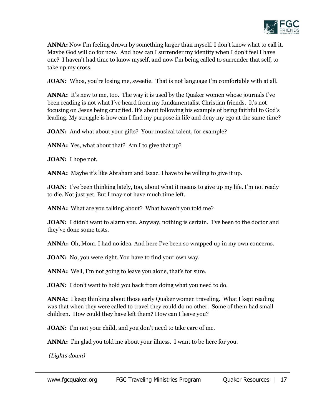

**ANNA:** Now I'm feeling drawn by something larger than myself. I don't know what to call it. Maybe God will do for now. And how can I surrender my identity when I don't feel I have one? I haven't had time to know myself, and now I'm being called to surrender that self, to take up my cross.

**JOAN:** Whoa, you're losing me, sweetie. That is not language I'm comfortable with at all.

ANNA: It's new to me, too. The way it is used by the Quaker women whose journals I've been reading is not what I've heard from my fundamentalist Christian friends. It's not focusing on Jesus being crucified. It's about following his example of being faithful to God's leading. My struggle is how can I find my purpose in life and deny my ego at the same time?

**JOAN:** And what about your gifts? Your musical talent, for example?

**ANNA:** Yes, what about that? Am I to give that up?

**JOAN:** I hope not.

**ANNA:** Maybe it's like Abraham and Isaac. I have to be willing to give it up.

**JOAN:** I've been thinking lately, too, about what it means to give up my life. I'm not ready to die. Not just yet. But I may not have much time left.

**ANNA:** What are you talking about? What haven't you told me?

**JOAN:** I didn't want to alarm you. Anyway, nothing is certain. I've been to the doctor and they've done some tests.

**ANNA:** Oh, Mom. I had no idea. And here I've been so wrapped up in my own concerns.

**JOAN:** No, you were right. You have to find your own way.

**ANNA:** Well, I'm not going to leave you alone, that's for sure.

**JOAN:** I don't want to hold you back from doing what you need to do.

**ANNA:** I keep thinking about those early Quaker women traveling. What I kept reading was that when they were called to travel they could do no other. Some of them had small children. How could they have left them? How can I leave you?

**JOAN:** I'm not your child, and you don't need to take care of me.

**ANNA:** I'm glad you told me about your illness. I want to be here for you.

*(Lights down)*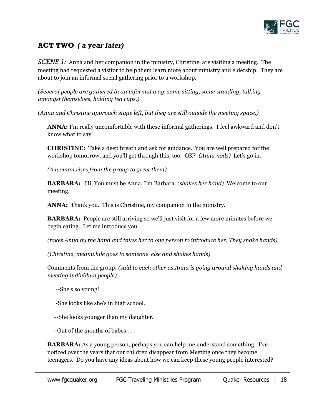

# **ACT TWO**: *( a year later)*

*SCENE 1:* Anna and her companion in the ministry, Christine, are visiting a meeting. The meeting had requested a visitor to help them learn more about ministry and eldership. They are about to join an informal social gathering prior to a workshop.

*(Several people are gathered in an informal way, some sitting, some standing, talking amongst themselves, holding tea cups.)*

*(Anna and Christine approach stage left, but they are still outside the meeting space.)*

**ANNA:** I'm really uncomfortable with these informal gatherings. I feel awkward and don't know what to say.

**CHRISTINE:** Take a deep breath and ask for guidance. You are well prepared for the workshop tomorrow, and you'll get through this, too. OK? *(Anna nods)* Let's go in.

*(A woman rises from the group to greet them)* 

**BARBARA:** Hi, You must be Anna. I'm Barbara. *(shakes her hand)* Welcome to our meeting.

**ANNA:** Thank you. This is Christine, my companion in the ministry.

**BARBARA:** People are still arriving so we'll just visit for a few more minutes before we begin eating. Let me introduce you.

*(takes Anna by the hand and takes her to one person to introduce her. They shake hands)* 

*(Christine, meanwhile goes to someone else and shakes hands)*

Comments from the group: *(said to each other as Anna is going around shaking hands and meeting individual people)*

--She's so young!

-She looks like she's in high school.

--She looks younger than my daughter.

--Out of the mouths of babes . . .

**BARBARA:** As a young person, perhaps you can help me understand something. I've noticed over the years that our children disappear from Meeting once they become teenagers. Do you have any ideas about how we can keep these young people interested?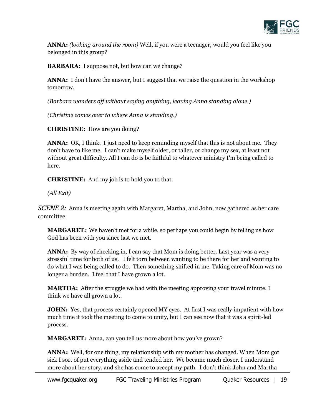

**ANNA:** *(looking around the room)* Well, if you were a teenager, would you feel like you belonged in this group?

**BARBARA:** I suppose not, but how can we change?

ANNA: I don't have the answer, but I suggest that we raise the question in the workshop tomorrow.

*(Barbara wanders off without saying anything, leaving Anna standing alone.)*

*(Christine comes over to where Anna is standing.)*

**CHRISTINE:** How are you doing?

**ANNA:** OK, I think. I just need to keep reminding myself that this is not about me. They don't have to like me. I can't make myself older, or taller, or change my sex, at least not without great difficulty. All I can do is be faithful to whatever ministry I'm being called to here.

**CHRISTINE:** And my job is to hold you to that.

*(All Exit)*

*SCENE 2:* Anna is meeting again with Margaret, Martha, and John, now gathered as her care committee

**MARGARET:** We haven't met for a while, so perhaps you could begin by telling us how God has been with you since last we met.

ANNA: By way of checking in, I can say that Mom is doing better. Last year was a very stressful time for both of us. I felt torn between wanting to be there for her and wanting to do what I was being called to do. Then something shifted in me. Taking care of Mom was no longer a burden. I feel that I have grown a lot.

**MARTHA:** After the struggle we had with the meeting approving your travel minute, I think we have all grown a lot.

**JOHN:** Yes, that process certainly opened MY eyes. At first I was really impatient with how much time it took the meeting to come to unity, but I can see now that it was a spirit-led process.

**MARGARET:** Anna, can you tell us more about how you've grown?

**ANNA:** Well, for one thing, my relationship with my mother has changed. When Mom got sick I sort of put everything aside and tended her. We became much closer. I understand more about her story, and she has come to accept my path. I don't think John and Martha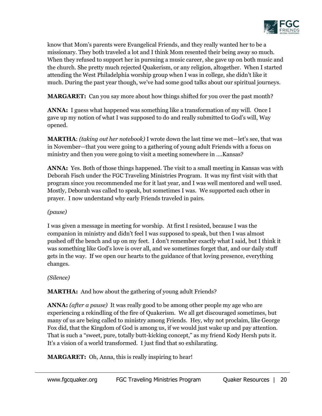

know that Mom's parents were Evangelical Friends, and they really wanted her to be a missionary. They both traveled a lot and I think Mom resented their being away so much. When they refused to support her in pursuing a music career, she gave up on both music and the church. She pretty much rejected Quakerism, or any religion, altogether. When I started attending the West Philadelphia worship group when I was in college, she didn't like it much. During the past year though, we've had some good talks about our spiritual journeys.

**MARGARET:** Can you say more about how things shifted for you over the past month?

**ANNA:** I guess what happened was something like a transformation of my will. Once I gave up my notion of what I was supposed to do and really submitted to God's will, Way opened.

**MARTHA**: *(taking out her notebook)* I wrote down the last time we met—let's see, that was in November—that you were going to a gathering of young adult Friends with a focus on ministry and then you were going to visit a meeting somewhere in ….Kansas?

**ANNA:** Yes. Both of those things happened. The visit to a small meeting in Kansas was with Deborah Fisch under the FGC Traveling Ministries Program. It was my first visit with that program since you recommended me for it last year, and I was well mentored and well used. Mostly, Deborah was called to speak, but sometimes I was. We supported each other in prayer. I now understand why early Friends traveled in pairs.

#### *(pause)*

I was given a message in meeting for worship. At first I resisted, because I was the companion in ministry and didn't feel I was supposed to speak, but then I was almost pushed off the bench and up on my feet. I don't remember exactly what I said, but I think it was something like God's love is over all, and we sometimes forget that, and our daily stuff gets in the way. If we open our hearts to the guidance of that loving presence, everything changes.

*(Silence)*

**MARTHA:** And how about the gathering of young adult Friends?

**ANNA:** *(after a pause)* It was really good to be among other people my age who are experiencing a rekindling of the fire of Quakerism. We all get discouraged sometimes, but many of us are being called to ministry among Friends. Hey, why not proclaim, like George Fox did, that the Kingdom of God is among us, if we would just wake up and pay attention. That is such a "sweet, pure, totally butt-kicking concept," as my friend Kody Hersh puts it. It's a vision of a world transformed. I just find that so exhilarating.

**MARGARET:** Oh, Anna, this is really inspiring to hear!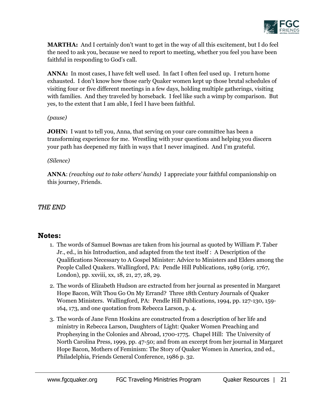

**MARTHA:** And I certainly don't want to get in the way of all this excitement, but I do feel the need to ask you, because we need to report to meeting, whether you feel you have been faithful in responding to God's call.

**ANNA:** In most cases, I have felt well used. In fact I often feel used up. I return home exhausted. I don't know how those early Quaker women kept up those brutal schedules of visiting four or five different meetings in a few days, holding multiple gatherings, visiting with families. And they traveled by horseback. I feel like such a wimp by comparison. But yes, to the extent that I am able, I feel I have been faithful.

#### *(pause)*

**JOHN:** I want to tell you, Anna, that serving on your care committee has been a transforming experience for me. Wrestling with your questions and helping you discern your path has deepened my faith in ways that I never imagined. And I'm grateful.

#### *(Silence)*

**ANNA**: *(reaching out to take others' hands)* I appreciate your faithful companionship on this journey, Friends.

## *THE END*

## **Notes:**

- 1. The words of Samuel Bownas are taken from his journal as quoted by William P. Taber Jr., ed., in his Introduction, and adapted from the text itself : A Description of the Qualifications Necessary to A Gospel Minister: Advice to Ministers and Elders among the People Called Quakers. Wallingford, PA: Pendle Hill Publications, 1989 (orig. 1767, London), pp. xxviii, xx, 18, 21, 27, 28, 29.
- 2. The words of Elizabeth Hudson are extracted from her journal as presented in Margaret Hope Bacon, Wilt Thou Go On My Errand? Three 18th Century Journals of Quaker Women Ministers. Wallingford, PA: Pendle Hill Publications, 1994, pp. 127-130, 159- 164, 173, and one quotation from Rebecca Larson, p. 4.
- 3. The words of Jane Fenn Hoskins are constructed from a description of her life and ministry in Rebecca Larson, Daughters of Light: Quaker Women Preaching and Prophesying in the Colonies and Abroad, 1700-1775. Chapel Hill: The University of North Carolina Press, 1999, pp. 47-50; and from an excerpt from her journal in Margaret Hope Bacon, Mothers of Feminism: The Story of Quaker Women in America, 2nd ed., Philadelphia, Friends General Conference, 1986 p. 32.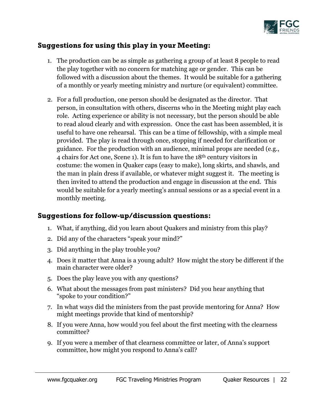

# **Suggestions for using this play in your Meeting:**

- 1. The production can be as simple as gathering a group of at least 8 people to read the play together with no concern for matching age or gender. This can be followed with a discussion about the themes. It would be suitable for a gathering of a monthly or yearly meeting ministry and nurture (or equivalent) committee.
- 2. For a full production, one person should be designated as the director. That person, in consultation with others, discerns who in the Meeting might play each role. Acting experience or ability is not necessary, but the person should be able to read aloud clearly and with expression. Once the cast has been assembled, it is useful to have one rehearsal. This can be a time of fellowship, with a simple meal provided. The play is read through once, stopping if needed for clarification or guidance. For the production with an audience, minimal props are needed (e.g., 4 chairs for Act one, Scene 1). It is fun to have the 18th century visitors in costume: the women in Quaker caps (easy to make), long skirts, and shawls, and the man in plain dress if available, or whatever might suggest it. The meeting is then invited to attend the production and engage in discussion at the end. This would be suitable for a yearly meeting's annual sessions or as a special event in a monthly meeting.

# **Suggestions for follow-up/discussion questions:**

- 1. What, if anything, did you learn about Quakers and ministry from this play?
- 2. Did any of the characters "speak your mind?"
- 3. Did anything in the play trouble you?
- 4. Does it matter that Anna is a young adult? How might the story be different if the main character were older?
- 5. Does the play leave you with any questions?
- 6. What about the messages from past ministers? Did you hear anything that "spoke to your condition?"
- 7. In what ways did the ministers from the past provide mentoring for Anna? How might meetings provide that kind of mentorship?
- 8. If you were Anna, how would you feel about the first meeting with the clearness committee?
- 9. If you were a member of that clearness committee or later, of Anna's support committee, how might you respond to Anna's call?